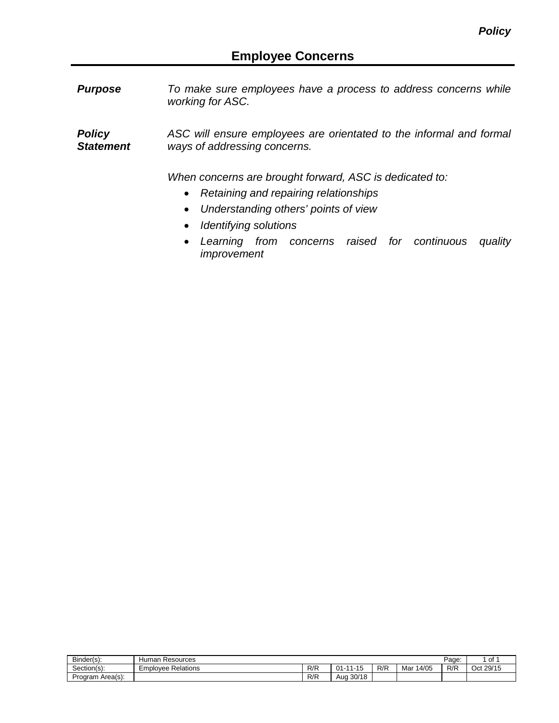*Purpose To make sure employees have a process to address concerns while working for ASC.*

*Policy Statement ASC will ensure employees are orientated to the informal and formal ways of addressing concerns.*

*When concerns are brought forward, ASC is dedicated to:*

- *Retaining and repairing relationships*
- *Understanding others' points of view*
- *Identifying solutions*
- *Learning from concerns raised for continuous quality improvement*

| Binder(s):          | luman<br>Resources                   |     |                                                    |     |             | Page: | of            |
|---------------------|--------------------------------------|-----|----------------------------------------------------|-----|-------------|-------|---------------|
| Section(s):         | Relations<br>nplovee i<br><u>_ 1</u> | R/R | AA<br>$21 - 1$<br>$-12$<br>                        | R/R | 4/05<br>Mar | R/R   | 29/15<br>Oct: |
| Area(s):<br>Program |                                      | R/R | 30/18<br>$\Lambda \cup \gamma$<br>н.<br>וטט<br>7uu |     |             |       |               |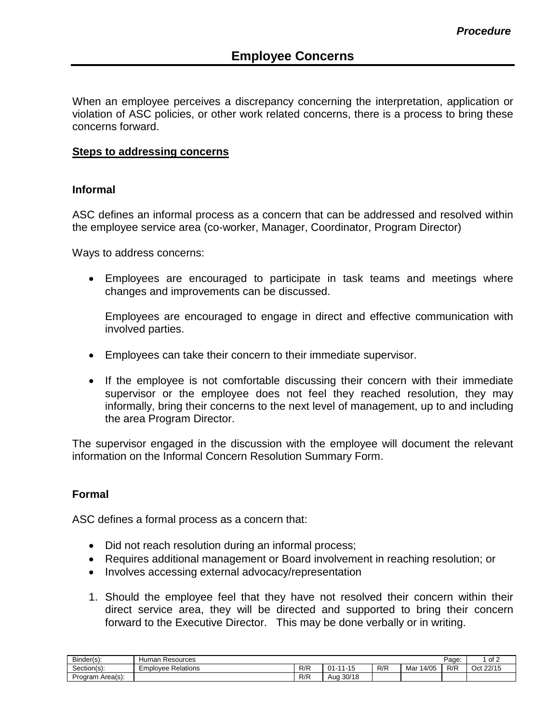When an employee perceives a discrepancy concerning the interpretation, application or violation of ASC policies, or other work related concerns, there is a process to bring these concerns forward.

## **Steps to addressing concerns**

## **Informal**

ASC defines an informal process as a concern that can be addressed and resolved within the employee service area (co-worker, Manager, Coordinator, Program Director)

Ways to address concerns:

• Employees are encouraged to participate in task teams and meetings where changes and improvements can be discussed.

Employees are encouraged to engage in direct and effective communication with involved parties.

- Employees can take their concern to their immediate supervisor.
- If the employee is not comfortable discussing their concern with their immediate supervisor or the employee does not feel they reached resolution, they may informally, bring their concerns to the next level of management, up to and including the area Program Director.

The supervisor engaged in the discussion with the employee will document the relevant information on the Informal Concern Resolution Summary Form.

## **Formal**

ASC defines a formal process as a concern that:

- Did not reach resolution during an informal process;
- Requires additional management or Board involvement in reaching resolution; or
- Involves accessing external advocacy/representation
- 1. Should the employee feel that they have not resolved their concern within their direct service area, they will be directed and supported to bring their concern forward to the Executive Director. This may be done verbally or in writing.

| Binder(s):       | Resources<br>Human    |                    |                               |     |              | Page: | $\sim$ f $\sim$<br>ے ו            |
|------------------|-----------------------|--------------------|-------------------------------|-----|--------------|-------|-----------------------------------|
| Section(s):      | Relations<br>Employee | D/D<br>NN          | $\overline{A}$<br>01-<br>1-10 | R/R | 14/05<br>Mar | R/R   | 22/15<br>∽<br>ገለተ<br>້<br>◡◡<br>. |
| Program Area(s): |                       | ם/ ם<br><b>N/N</b> | 30/18<br>Auc                  |     |              |       |                                   |